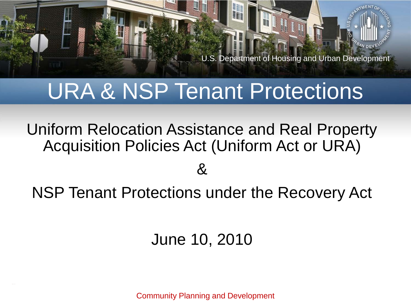

#### URA & NSP Tenant Protections

Uniform Relocation Assistance and Real Property Acquisition Policies Act (Uniform Act or URA)

#### &

NSP Tenant Protections under the Recovery Act

#### June 10, 2010

Community Planning and Development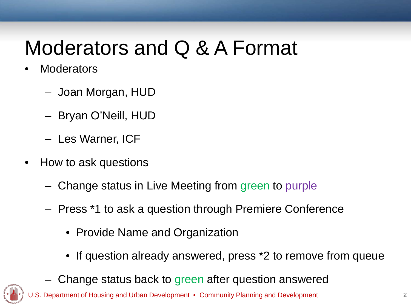#### Moderators and Q & A Format

- **Moderators** 
	- Joan Morgan, HUD
	- Bryan O'Neill, HUD
	- Les Warner, ICF
- How to ask questions
	- Change status in Live Meeting from green to purple
	- Press \*1 to ask a question through Premiere Conference
		- Provide Name and Organization
		- If question already answered, press \*2 to remove from queue
	- Change status back to green after question answered

of Housing and Urban Development • Community Planning and Development 2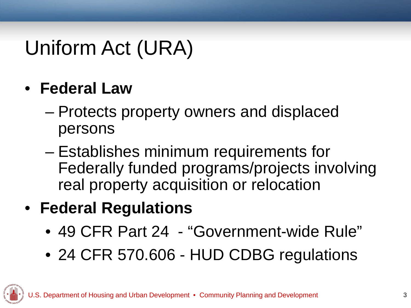## Uniform Act (URA)

#### • **Federal Law**

- Protects property owners and displaced persons
- Establishes minimum requirements for Federally funded programs/projects involving real property acquisition or relocation

#### • **Federal Regulations**

- 49 CFR Part 24 "Government-wide Rule"
- 24 CFR 570.606 HUD CDBG regulations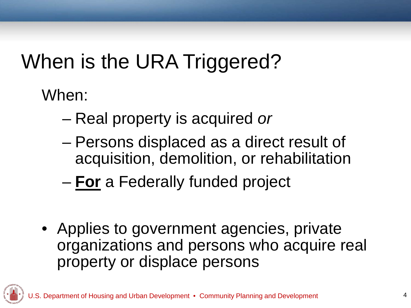# When is the URA Triggered?

When:

- Real property is acquired *or*
- Persons displaced as a direct result of acquisition, demolition, or rehabilitation
- **For** a Federally funded project
- Applies to government agencies, private organizations and persons who acquire real property or displace persons

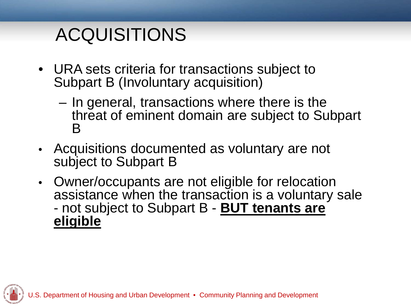#### ACQUISITIONS

- URA sets criteria for transactions subject to Subpart B (Involuntary acquisition)
	- In general, transactions where there is the threat of eminent domain are subject to Subpart  $\boldsymbol{\mathsf{B}}$
- Acquisitions documented as voluntary are not subject to Subpart B
- Owner/occupants are not eligible for relocation assistance when the transaction is a voluntary sale - not subject to Subpart B - **BUT tenants are eligible**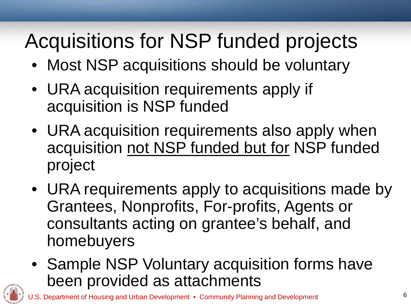# Acquisitions for NSP funded projects

- Most NSP acquisitions should be voluntary
- URA acquisition requirements apply if acquisition is NSP funded
- URA acquisition requirements also apply when acquisition not NSP funded but for NSP funded project
- URA requirements apply to acquisitions made by Grantees, Nonprofits, For-profits, Agents or consultants acting on grantee's behalf, and homebuyers
- Sample NSP Voluntary acquisition forms have been provided as attachments

rtment of Housing and Urban Development • Community Planning and Development  $6$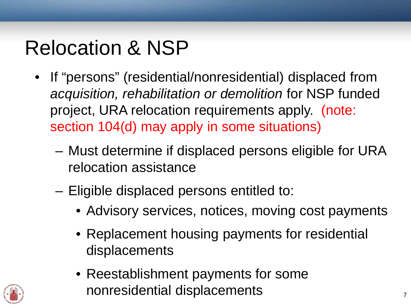### Relocation & NSP

- If "persons" (residential/nonresidential) displaced from *acquisition, rehabilitation or demolition* for NSP funded project, URA relocation requirements apply. (note: section 104(d) may apply in some situations)
	- Must determine if displaced persons eligible for URA relocation assistance
	- Eligible displaced persons entitled to:
		- Advisory services, notices, moving cost payments
		- Replacement housing payments for residential displacements
		- Reestablishment payments for some nonresidential displacements 7

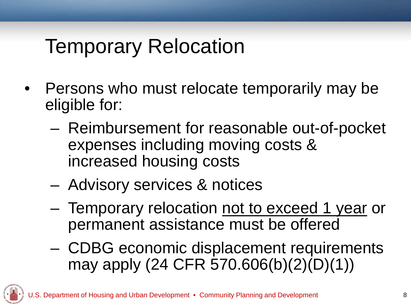#### Temporary Relocation

- Persons who must relocate temporarily may be eligible for:
	- Reimbursement for reasonable out-of-pocket expenses including moving costs & increased housing costs
	- Advisory services & notices
	- Temporary relocation not to exceed 1 year or permanent assistance must be offered
	- CDBG economic displacement requirements may apply (24 CFR 570.606(b)(2)(D)(1))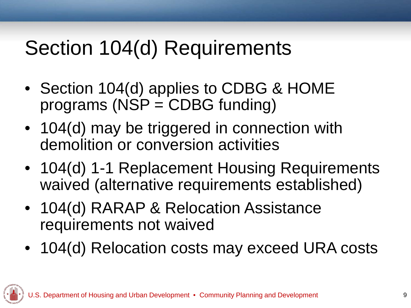### Section 104(d) Requirements

- Section 104(d) applies to CDBG & HOME programs (NSP = CDBG funding)
- 104(d) may be triggered in connection with demolition or conversion activities
- 104(d) 1-1 Replacement Housing Requirements waived (alternative requirements established)
- 104(d) RARAP & Relocation Assistance requirements not waived
- 104(d) Relocation costs may exceed URA costs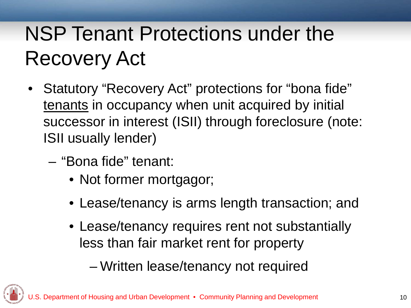## NSP Tenant Protections under the Recovery Act

- Statutory "Recovery Act" protections for "bona fide" tenants in occupancy when unit acquired by initial successor in interest (ISII) through foreclosure (note: ISII usually lender)
	- "Bona fide" tenant:
		- Not former mortgagor;
		- Lease/tenancy is arms length transaction; and
		- Lease/tenancy requires rent not substantially less than fair market rent for property
			- Written lease/tenancy not required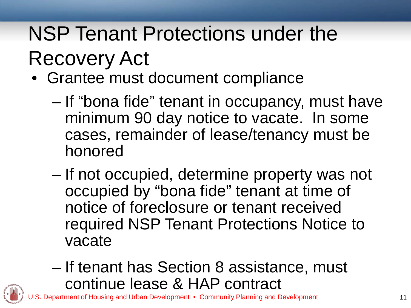# NSP Tenant Protections under the Recovery Act

- Grantee must document compliance
	- If "bona fide" tenant in occupancy, must have minimum 90 day notice to vacate. In some cases, remainder of lease/tenancy must be honored
	- If not occupied, determine property was not occupied by "bona fide" tenant at time of notice of foreclosure or tenant received required NSP Tenant Protections Notice to vacate
	- If tenant has Section 8 assistance, must continue lease & HAP contract

Department of Housing and Urban Development • Community Planning and Development 11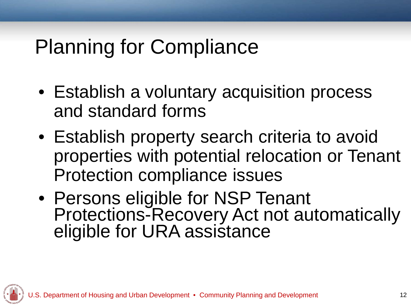#### Planning for Compliance

- Establish a voluntary acquisition process and standard forms
- Establish property search criteria to avoid properties with potential relocation or Tenant Protection compliance issues
- Persons eligible for NSP Tenant Protections-Recovery Act not automatically eligible for URA assistance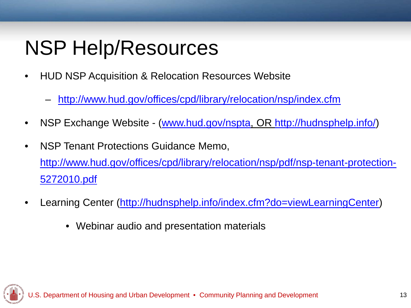## NSP Help/Resources

- HUD NSP Acquisition & Relocation Resources Website
	- <http://www.hud.gov/offices/cpd/library/relocation/nsp/index.cfm>
- NSP Exchange Website [\(www.hud.gov/nspta,](http://www.hud.gov/nspta) OR<http://hudnsphelp.info/>)
- NSP Tenant Protections Guidance Memo, [http://www.hud.gov/offices/cpd/library/relocation/nsp/pdf/nsp-tenant-protection-](http://www.hud.gov/offices/cpd/library/relocation/nsp/pdf/nsp-tenant-protection-5272010.pdf)[5272010.pdf](http://www.hud.gov/offices/cpd/library/relocation/nsp/pdf/nsp-tenant-protection-5272010.pdf)
- Learning Center [\(http://hudnsphelp.info/index.cfm?do=viewLearningCenter](http://hudnsphelp.info/index.cfm?do=viewLearningCenter))
	- Webinar audio and presentation materials